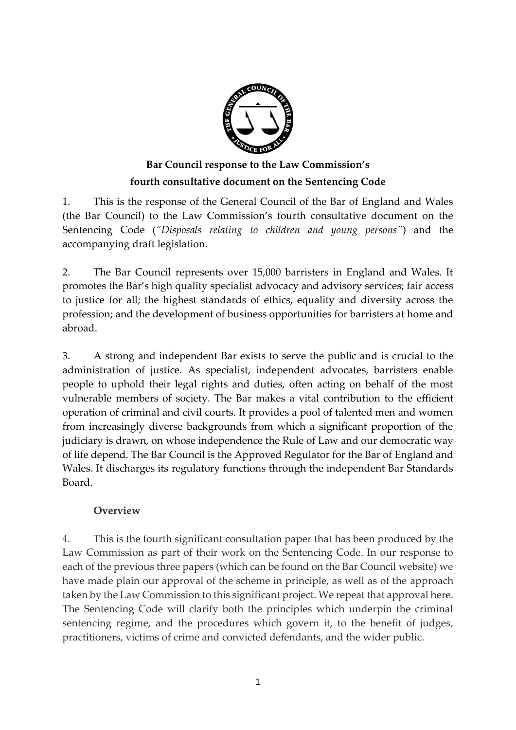

# **Bar Council response to the Law Commission's fourth consultative document on the Sentencing Code**

1. This is the response of the General Council of the Bar of England and Wales (the Bar Council) to the Law Commission's fourth consultative document on the Sentencing Code (*"Disposals relating to children and young persons"*) and the accompanying draft legislation.

2. The Bar Council represents over 15,000 barristers in England and Wales. It promotes the Bar's high quality specialist advocacy and advisory services; fair access to justice for all; the highest standards of ethics, equality and diversity across the profession; and the development of business opportunities for barristers at home and abroad.

3. A strong and independent Bar exists to serve the public and is crucial to the administration of justice. As specialist, independent advocates, barristers enable people to uphold their legal rights and duties, often acting on behalf of the most vulnerable members of society. The Bar makes a vital contribution to the efficient operation of criminal and civil courts. It provides a pool of talented men and women from increasingly diverse backgrounds from which a significant proportion of the judiciary is drawn, on whose independence the Rule of Law and our democratic way of life depend. The Bar Council is the Approved Regulator for the Bar of England and Wales. It discharges its regulatory functions through the independent Bar Standards Board.

### **Overview**

4. This is the fourth significant consultation paper that has been produced by the Law Commission as part of their work on the Sentencing Code. In our response to each of the previous three papers (which can be found on the Bar Council website) we have made plain our approval of the scheme in principle, as well as of the approach taken by the Law Commission to this significant project. We repeat that approval here. The Sentencing Code will clarify both the principles which underpin the criminal sentencing regime, and the procedures which govern it, to the benefit of judges, practitioners, victims of crime and convicted defendants, and the wider public.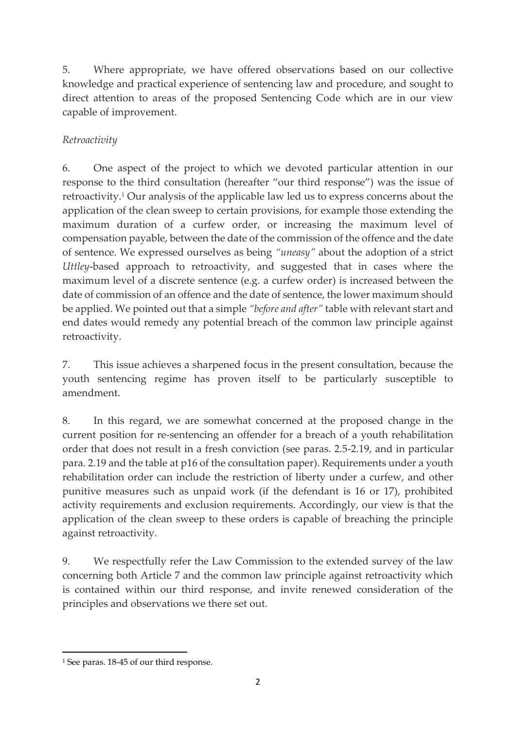5. Where appropriate, we have offered observations based on our collective knowledge and practical experience of sentencing law and procedure, and sought to direct attention to areas of the proposed Sentencing Code which are in our view capable of improvement.

# *Retroactivity*

6. One aspect of the project to which we devoted particular attention in our response to the third consultation (hereafter "our third response") was the issue of retroactivity.<sup>1</sup> Our analysis of the applicable law led us to express concerns about the application of the clean sweep to certain provisions, for example those extending the maximum duration of a curfew order, or increasing the maximum level of compensation payable, between the date of the commission of the offence and the date of sentence. We expressed ourselves as being *"uneasy"* about the adoption of a strict *Uttley*-based approach to retroactivity, and suggested that in cases where the maximum level of a discrete sentence (e.g. a curfew order) is increased between the date of commission of an offence and the date of sentence, the lower maximum should be applied. We pointed out that a simple *"before and after"* table with relevant start and end dates would remedy any potential breach of the common law principle against retroactivity.

7. This issue achieves a sharpened focus in the present consultation, because the youth sentencing regime has proven itself to be particularly susceptible to amendment.

8. In this regard, we are somewhat concerned at the proposed change in the current position for re-sentencing an offender for a breach of a youth rehabilitation order that does not result in a fresh conviction (see paras. 2.5-2.19, and in particular para. 2.19 and the table at p16 of the consultation paper). Requirements under a youth rehabilitation order can include the restriction of liberty under a curfew, and other punitive measures such as unpaid work (if the defendant is 16 or 17), prohibited activity requirements and exclusion requirements. Accordingly, our view is that the application of the clean sweep to these orders is capable of breaching the principle against retroactivity.

9. We respectfully refer the Law Commission to the extended survey of the law concerning both Article 7 and the common law principle against retroactivity which is contained within our third response, and invite renewed consideration of the principles and observations we there set out.

<sup>1</sup> <sup>1</sup> See paras. 18-45 of our third response.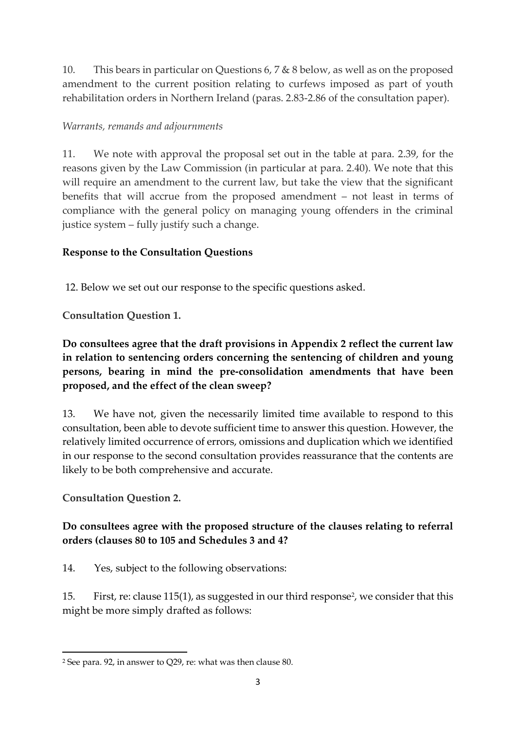10. This bears in particular on Questions 6, 7 & 8 below, as well as on the proposed amendment to the current position relating to curfews imposed as part of youth rehabilitation orders in Northern Ireland (paras. 2.83-2.86 of the consultation paper).

### *Warrants, remands and adjournments*

11. We note with approval the proposal set out in the table at para. 2.39, for the reasons given by the Law Commission (in particular at para. 2.40). We note that this will require an amendment to the current law, but take the view that the significant benefits that will accrue from the proposed amendment – not least in terms of compliance with the general policy on managing young offenders in the criminal justice system – fully justify such a change.

# **Response to the Consultation Questions**

12. Below we set out our response to the specific questions asked.

**Consultation Question 1.**

**Do consultees agree that the draft provisions in Appendix 2 reflect the current law in relation to sentencing orders concerning the sentencing of children and young persons, bearing in mind the pre-consolidation amendments that have been proposed, and the effect of the clean sweep?**

13. We have not, given the necessarily limited time available to respond to this consultation, been able to devote sufficient time to answer this question. However, the relatively limited occurrence of errors, omissions and duplication which we identified in our response to the second consultation provides reassurance that the contents are likely to be both comprehensive and accurate.

**Consultation Question 2.**

# **Do consultees agree with the proposed structure of the clauses relating to referral orders (clauses 80 to 105 and Schedules 3 and 4?**

14. Yes, subject to the following observations:

15. First, re: clause 115(1), as suggested in our third response<sup>2</sup>, we consider that this might be more simply drafted as follows:

<sup>1</sup> <sup>2</sup> See para. 92, in answer to Q29, re: what was then clause 80.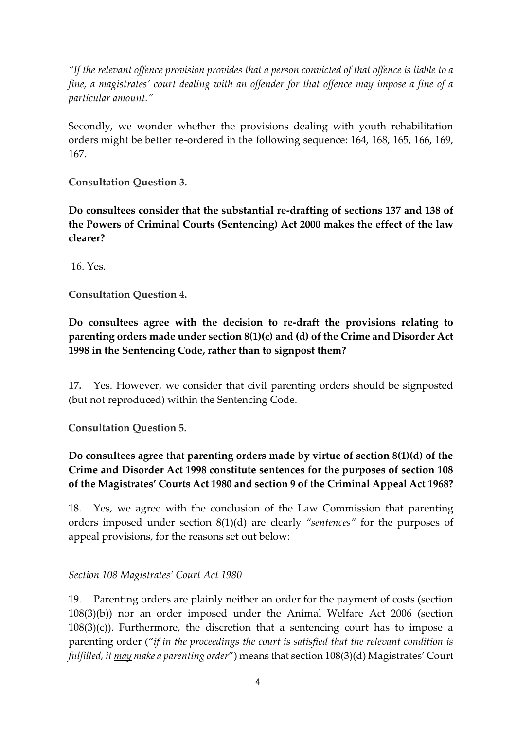*"If the relevant offence provision provides that a person convicted of that offence is liable to a fine, a magistrates' court dealing with an offender for that offence may impose a fine of a particular amount."*

Secondly, we wonder whether the provisions dealing with youth rehabilitation orders might be better re-ordered in the following sequence: 164, 168, 165, 166, 169, 167.

**Consultation Question 3.**

**Do consultees consider that the substantial re-drafting of sections 137 and 138 of the Powers of Criminal Courts (Sentencing) Act 2000 makes the effect of the law clearer?**

16. Yes.

**Consultation Question 4.**

**Do consultees agree with the decision to re-draft the provisions relating to parenting orders made under section 8(1)(c) and (d) of the Crime and Disorder Act 1998 in the Sentencing Code, rather than to signpost them?**

**17.** Yes. However, we consider that civil parenting orders should be signposted (but not reproduced) within the Sentencing Code.

**Consultation Question 5.**

# **Do consultees agree that parenting orders made by virtue of section 8(1)(d) of the Crime and Disorder Act 1998 constitute sentences for the purposes of section 108 of the Magistrates' Courts Act 1980 and section 9 of the Criminal Appeal Act 1968?**

18. Yes, we agree with the conclusion of the Law Commission that parenting orders imposed under section 8(1)(d) are clearly *"sentences"* for the purposes of appeal provisions, for the reasons set out below:

#### *Section 108 Magistrates' Court Act 1980*

19. Parenting orders are plainly neither an order for the payment of costs (section 108(3)(b)) nor an order imposed under the Animal Welfare Act 2006 (section  $108(3)(c)$ ). Furthermore, the discretion that a sentencing court has to impose a parenting order ("*if in the proceedings the court is satisfied that the relevant condition is fulfilled, it may make a parenting order*") means that section 108(3)(d) Magistrates' Court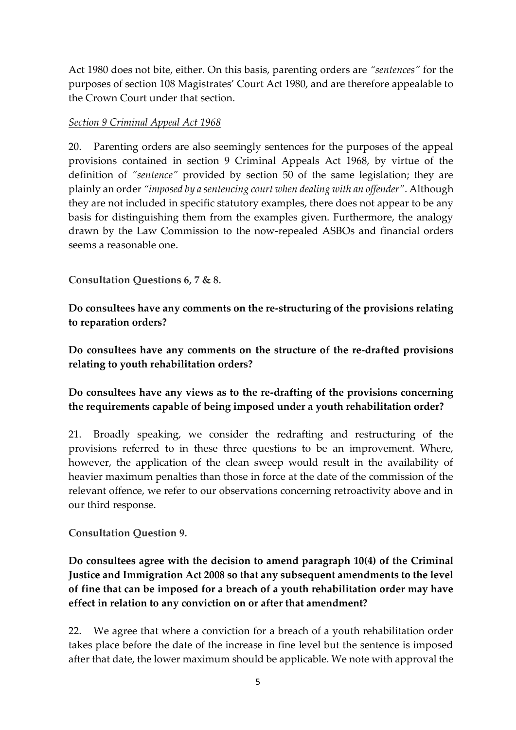Act 1980 does not bite, either. On this basis, parenting orders are *"sentences"* for the purposes of section 108 Magistrates' Court Act 1980, and are therefore appealable to the Crown Court under that section.

#### *Section 9 Criminal Appeal Act 1968*

20. Parenting orders are also seemingly sentences for the purposes of the appeal provisions contained in section 9 Criminal Appeals Act 1968, by virtue of the definition of *"sentence"* provided by section 50 of the same legislation; they are plainly an order *"imposed by a sentencing court when dealing with an offender"*. Although they are not included in specific statutory examples, there does not appear to be any basis for distinguishing them from the examples given. Furthermore, the analogy drawn by the Law Commission to the now-repealed ASBOs and financial orders seems a reasonable one.

**Consultation Questions 6, 7 & 8.**

**Do consultees have any comments on the re-structuring of the provisions relating to reparation orders?**

**Do consultees have any comments on the structure of the re-drafted provisions relating to youth rehabilitation orders?**

### **Do consultees have any views as to the re-drafting of the provisions concerning the requirements capable of being imposed under a youth rehabilitation order?**

21. Broadly speaking, we consider the redrafting and restructuring of the provisions referred to in these three questions to be an improvement. Where, however, the application of the clean sweep would result in the availability of heavier maximum penalties than those in force at the date of the commission of the relevant offence, we refer to our observations concerning retroactivity above and in our third response.

**Consultation Question 9.**

**Do consultees agree with the decision to amend paragraph 10(4) of the Criminal Justice and Immigration Act 2008 so that any subsequent amendments to the level of fine that can be imposed for a breach of a youth rehabilitation order may have effect in relation to any conviction on or after that amendment?**

22. We agree that where a conviction for a breach of a youth rehabilitation order takes place before the date of the increase in fine level but the sentence is imposed after that date, the lower maximum should be applicable. We note with approval the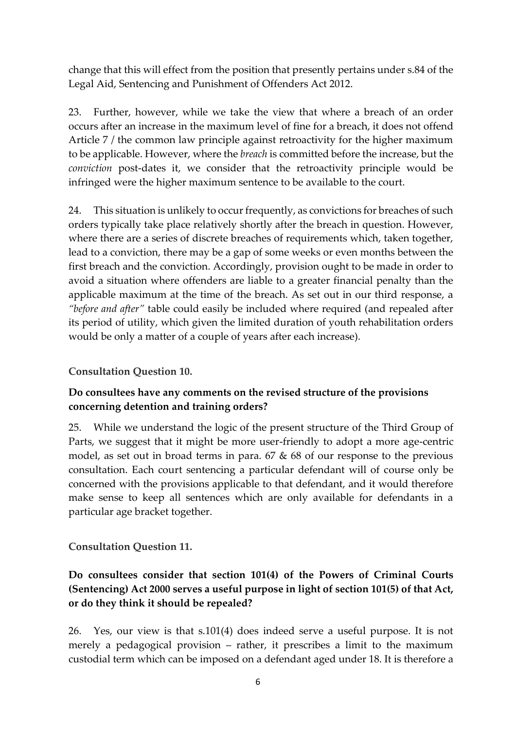change that this will effect from the position that presently pertains under s.84 of the Legal Aid, Sentencing and Punishment of Offenders Act 2012.

23. Further, however, while we take the view that where a breach of an order occurs after an increase in the maximum level of fine for a breach, it does not offend Article 7 / the common law principle against retroactivity for the higher maximum to be applicable. However, where the *breach* is committed before the increase, but the *conviction* post-dates it, we consider that the retroactivity principle would be infringed were the higher maximum sentence to be available to the court.

24. This situation is unlikely to occur frequently, as convictions for breaches of such orders typically take place relatively shortly after the breach in question. However, where there are a series of discrete breaches of requirements which, taken together, lead to a conviction, there may be a gap of some weeks or even months between the first breach and the conviction. Accordingly, provision ought to be made in order to avoid a situation where offenders are liable to a greater financial penalty than the applicable maximum at the time of the breach. As set out in our third response, a *"before and after"* table could easily be included where required (and repealed after its period of utility, which given the limited duration of youth rehabilitation orders would be only a matter of a couple of years after each increase).

#### **Consultation Question 10.**

### **Do consultees have any comments on the revised structure of the provisions concerning detention and training orders?**

25. While we understand the logic of the present structure of the Third Group of Parts, we suggest that it might be more user-friendly to adopt a more age-centric model, as set out in broad terms in para. 67 & 68 of our response to the previous consultation. Each court sentencing a particular defendant will of course only be concerned with the provisions applicable to that defendant, and it would therefore make sense to keep all sentences which are only available for defendants in a particular age bracket together.

**Consultation Question 11.**

### **Do consultees consider that section 101(4) of the Powers of Criminal Courts (Sentencing) Act 2000 serves a useful purpose in light of section 101(5) of that Act, or do they think it should be repealed?**

26. Yes, our view is that s.101(4) does indeed serve a useful purpose. It is not merely a pedagogical provision – rather, it prescribes a limit to the maximum custodial term which can be imposed on a defendant aged under 18. It is therefore a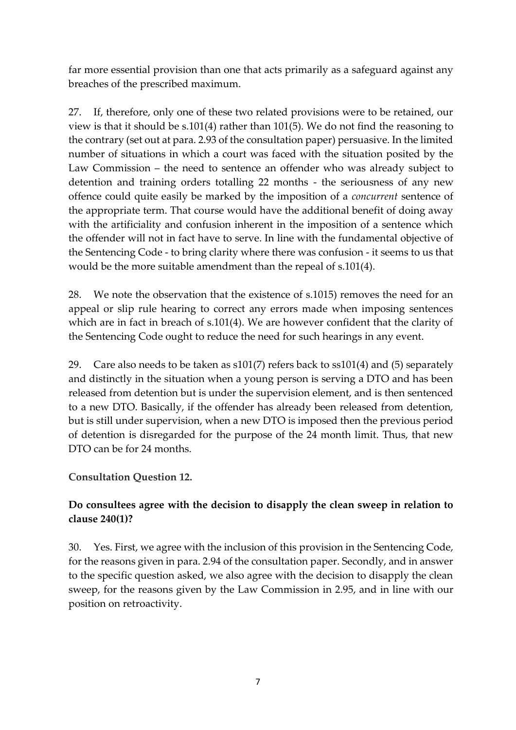far more essential provision than one that acts primarily as a safeguard against any breaches of the prescribed maximum.

27. If, therefore, only one of these two related provisions were to be retained, our view is that it should be s.101(4) rather than 101(5). We do not find the reasoning to the contrary (set out at para. 2.93 of the consultation paper) persuasive. In the limited number of situations in which a court was faced with the situation posited by the Law Commission – the need to sentence an offender who was already subject to detention and training orders totalling 22 months - the seriousness of any new offence could quite easily be marked by the imposition of a *concurrent* sentence of the appropriate term. That course would have the additional benefit of doing away with the artificiality and confusion inherent in the imposition of a sentence which the offender will not in fact have to serve. In line with the fundamental objective of the Sentencing Code - to bring clarity where there was confusion - it seems to us that would be the more suitable amendment than the repeal of s.101(4).

28. We note the observation that the existence of s.1015) removes the need for an appeal or slip rule hearing to correct any errors made when imposing sentences which are in fact in breach of s.101(4). We are however confident that the clarity of the Sentencing Code ought to reduce the need for such hearings in any event.

29. Care also needs to be taken as s101(7) refers back to ss101(4) and (5) separately and distinctly in the situation when a young person is serving a DTO and has been released from detention but is under the supervision element, and is then sentenced to a new DTO. Basically, if the offender has already been released from detention, but is still under supervision, when a new DTO is imposed then the previous period of detention is disregarded for the purpose of the 24 month limit. Thus, that new DTO can be for 24 months.

**Consultation Question 12.**

# **Do consultees agree with the decision to disapply the clean sweep in relation to clause 240(1)?**

30. Yes. First, we agree with the inclusion of this provision in the Sentencing Code, for the reasons given in para. 2.94 of the consultation paper. Secondly, and in answer to the specific question asked, we also agree with the decision to disapply the clean sweep, for the reasons given by the Law Commission in 2.95, and in line with our position on retroactivity.